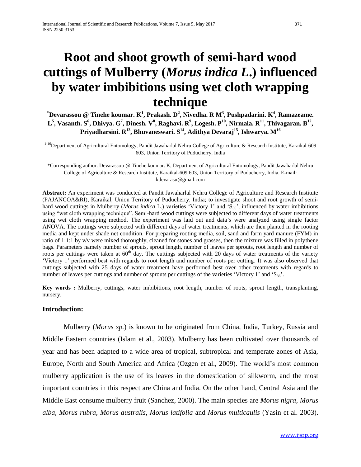# **Root and shoot growth of semi-hard wood cuttings of Mulberry (***Morus indica L***.) influenced by water imbibitions using wet cloth wrapping technique**

**\*Devarassou @ Tinehe koumar. K 1 , Prakash. D<sup>2</sup> , Nivedha. R M<sup>3</sup> , Pushpadarini. K<sup>4</sup> , Ramazeame.**   $\mathrm{L}^5$ , Vasanth. S $^6$ , Dhivya. G $^7$ , Dinesh. V $^8$ , Raghavi. R $^9$ , Logesh. P $^{10}$ , Nirmala. R $^{11}$ , Thivagaran. B $^{12}$ , **Priyadharsini. R<sup>13</sup>, Bhuvaneswari. S <sup>14</sup>, Adithya Devaraj<sup>15</sup>, Ishwarya. M<sup>16</sup>**

<sup>1-16</sup>Department of Agricultural Entomology, Pandit Jawaharlal Nehru College of Agriculture & Research Institute, Karaikal-609 603, Union Territory of Puducherry, India

\*Corresponding author: Devarassou @ Tinehe koumar. K, Department of Agricultural Entomology, Pandit Jawaharlal Nehru College of Agriculture & Research Institute, Karaikal-609 603, Union Territory of Puducherry, India. E-mail: kdevarasu@gmail.com

**Abstract:** An experiment was conducted at Pandit Jawaharlal Nehru College of Agriculture and Research Institute (PAJANCOA&RI), Karaikal, Union Territory of Puducherry, India; to investigate shoot and root growth of semihard wood cuttings in Mulberry (*Morus indica* L.) varieties 'Victory 1' and 'S<sub>36</sub>', influenced by water imbibitions using "wet cloth wrapping technique". Semi-hard wood cuttings were subjected to different days of water treatments using wet cloth wrapping method. The experiment was laid out and data's were analyzed using single factor ANOVA. The cuttings were subjected with different days of water treatments, which are then planted in the rooting media and kept under shade net condition. For preparing rooting media, soil, sand and farm yard manure (FYM) in ratio of 1:1:1 by v/v were mixed thoroughly, cleaned for stones and grasses, then the mixture was filled in polythene bags. Parameters namely number of sprouts, sprout length, number of leaves per sprouts, root length and number of roots per cuttings were taken at  $60<sup>th</sup>$  day. The cuttings subjected with 20 days of water treatments of the variety 'Victory 1' performed best with regards to root length and number of roots per cutting. It was also observed that cuttings subjected with 25 days of water treatment have performed best over other treatments with regards to number of leaves per cuttings and number of sprouts per cuttings of the varieties 'Victory 1' and ' $S_{36}$ '.

**Key words :** Mulberry, cuttings, water imbibitions, root length, number of roots, sprout length, transplanting, nursery.

#### **Introduction:**

Mulberry (*Morus sp.*) is known to be originated from China, India, Turkey, Russia and Middle Eastern countries (Islam et al., 2003). Mulberry has been cultivated over thousands of year and has been adapted to a wide area of tropical, subtropical and temperate zones of Asia, Europe, North and South America and Africa (Ozgen et al., 2009). The world's most common mulberry application is the use of its leaves in the domestication of silkworm, and the most important countries in this respect are China and India. On the other hand, Central Asia and the Middle East consume mulberry fruit (Sanchez, 2000). The main species are *Morus nigra, Morus alba, Morus rubra, Morus australis, Morus latifolia* and *Morus multicaulis* (Yasin et al. 2003).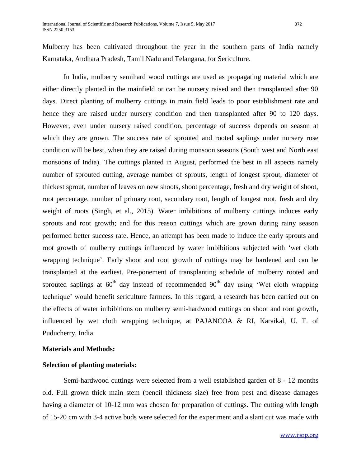Mulberry has been cultivated throughout the year in the southern parts of India namely Karnataka, Andhara Pradesh, Tamil Nadu and Telangana, for Sericulture.

In India, mulberry semihard wood cuttings are used as propagating material which are either directly planted in the mainfield or can be nursery raised and then transplanted after 90 days. Direct planting of mulberry cuttings in main field leads to poor establishment rate and hence they are raised under nursery condition and then transplanted after 90 to 120 days. However, even under nursery raised condition, percentage of success depends on season at which they are grown. The success rate of sprouted and rooted saplings under nursery rose condition will be best, when they are raised during monsoon seasons (South west and North east monsoons of India). The cuttings planted in August, performed the best in all aspects namely number of sprouted cutting, average number of sprouts, length of longest sprout, diameter of thickest sprout, number of leaves on new shoots, shoot percentage, fresh and dry weight of shoot, root percentage, number of primary root, secondary root, length of longest root, fresh and dry weight of roots (Singh, et al*.,* 2015). Water imbibitions of mulberry cuttings induces early sprouts and root growth; and for this reason cuttings which are grown during rainy season performed better success rate. Hence, an attempt has been made to induce the early sprouts and root growth of mulberry cuttings influenced by water imbibitions subjected with 'wet cloth wrapping technique'. Early shoot and root growth of cuttings may be hardened and can be transplanted at the earliest. Pre-ponement of transplanting schedule of mulberry rooted and sprouted saplings at  $60<sup>th</sup>$  day instead of recommended  $90<sup>th</sup>$  day using 'Wet cloth wrapping technique' would benefit sericulture farmers. In this regard, a research has been carried out on the effects of water imbibitions on mulberry semi-hardwood cuttings on shoot and root growth, influenced by wet cloth wrapping technique, at PAJANCOA & RI, Karaikal, U. T. of Puducherry, India.

#### **Materials and Methods:**

#### **Selection of planting materials:**

Semi-hardwood cuttings were selected from a well established garden of 8 - 12 months old. Full grown thick main stem (pencil thickness size) free from pest and disease damages having a diameter of 10-12 mm was chosen for preparation of cuttings. The cutting with length of 15-20 cm with 3-4 active buds were selected for the experiment and a slant cut was made with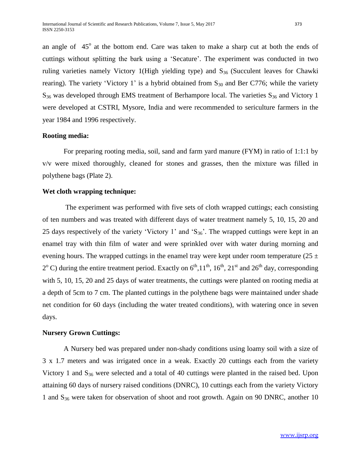an angle of  $45^\circ$  at the bottom end. Care was taken to make a sharp cut at both the ends of cuttings without splitting the bark using a 'Secature'. The experiment was conducted in two ruling varieties namely Victory 1(High yielding type) and  $S_{36}$  (Succulent leaves for Chawki rearing). The variety 'Victory 1' is a hybrid obtained from  $S_{30}$  and Ber C776; while the variety  $S_{36}$  was developed through EMS treatment of Berhampore local. The varieties  $S_{36}$  and Victory 1 were developed at CSTRI, Mysore, India and were recommended to sericulture farmers in the year 1984 and 1996 respectively.

# **Rooting media:**

For preparing rooting media, soil, sand and farm yard manure (FYM) in ratio of 1:1:1 by v/v were mixed thoroughly, cleaned for stones and grasses, then the mixture was filled in polythene bags (Plate 2).

# **Wet cloth wrapping technique:**

The experiment was performed with five sets of cloth wrapped cuttings; each consisting of ten numbers and was treated with different days of water treatment namely 5, 10, 15, 20 and 25 days respectively of the variety 'Victory 1' and 'S<sub>36</sub>'. The wrapped cuttings were kept in an enamel tray with thin film of water and were sprinkled over with water during morning and evening hours. The wrapped cuttings in the enamel tray were kept under room temperature (25  $\pm$  $2^{\circ}$  C) during the entire treatment period. Exactly on  $6^{\text{th}}$ , 11<sup>th</sup>, 16<sup>th</sup>, 21<sup>st</sup> and 26<sup>th</sup> day, corresponding with 5, 10, 15, 20 and 25 days of water treatments, the cuttings were planted on rooting media at a depth of 5cm to 7 cm. The planted cuttings in the polythene bags were maintained under shade net condition for 60 days (including the water treated conditions), with watering once in seven days.

# **Nursery Grown Cuttings:**

A Nursery bed was prepared under non-shady conditions using loamy soil with a size of 3 x 1.7 meters and was irrigated once in a weak. Exactly 20 cuttings each from the variety Victory 1 and  $S_{36}$  were selected and a total of 40 cuttings were planted in the raised bed. Upon attaining 60 days of nursery raised conditions (DNRC), 10 cuttings each from the variety Victory 1 and  $S_{36}$  were taken for observation of shoot and root growth. Again on 90 DNRC, another 10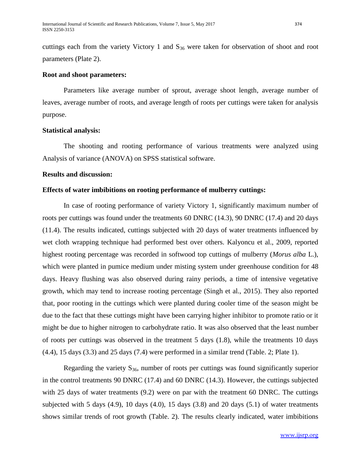cuttings each from the variety Victory 1 and  $S_{36}$  were taken for observation of shoot and root parameters (Plate 2).

#### **Root and shoot parameters:**

Parameters like average number of sprout, average shoot length, average number of leaves, average number of roots, and average length of roots per cuttings were taken for analysis purpose.

#### **Statistical analysis:**

The shooting and rooting performance of various treatments were analyzed using Analysis of variance (ANOVA) on SPSS statistical software.

#### **Results and discussion:**

# **Effects of water imbibitions on rooting performance of mulberry cuttings:**

In case of rooting performance of variety Victory 1, significantly maximum number of roots per cuttings was found under the treatments 60 DNRC (14.3), 90 DNRC (17.4) and 20 days (11.4). The results indicated, cuttings subjected with 20 days of water treatments influenced by wet cloth wrapping technique had performed best over others. Kalyoncu et al., 2009, reported highest rooting percentage was recorded in softwood top cuttings of mulberry (*Morus alba* L.), which were planted in pumice medium under misting system under greenhouse condition for 48 days. Heavy flushing was also observed during rainy periods, a time of intensive vegetative growth, which may tend to increase rooting percentage (Singh et al., 2015). They also reported that, poor rooting in the cuttings which were planted during cooler time of the season might be due to the fact that these cuttings might have been carrying higher inhibitor to promote ratio or it might be due to higher nitrogen to carbohydrate ratio. It was also observed that the least number of roots per cuttings was observed in the treatment 5 days (1.8), while the treatments 10 days (4.4), 15 days (3.3) and 25 days (7.4) were performed in a similar trend (Table. 2; Plate 1).

Regarding the variety  $S_{36}$ , number of roots per cuttings was found significantly superior in the control treatments 90 DNRC (17.4) and 60 DNRC (14.3). However, the cuttings subjected with 25 days of water treatments (9.2) were on par with the treatment 60 DNRC. The cuttings subjected with 5 days  $(4.9)$ , 10 days  $(4.0)$ , 15 days  $(3.8)$  and 20 days  $(5.1)$  of water treatments shows similar trends of root growth (Table. 2). The results clearly indicated, water imbibitions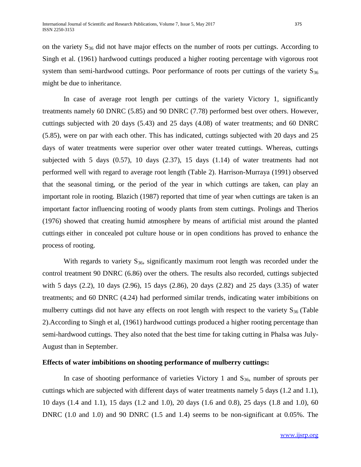on the variety  $S_{36}$  did not have major effects on the number of roots per cuttings. According to Singh et al. (1961) hardwood cuttings produced a higher rooting percentage with vigorous root system than semi-hardwood cuttings. Poor performance of roots per cuttings of the variety  $S_{36}$ might be due to inheritance.

In case of average root length per cuttings of the variety Victory 1, significantly treatments namely 60 DNRC (5.85) and 90 DNRC (7.78) performed best over others. However, cuttings subjected with 20 days (5.43) and 25 days (4.08) of water treatments; and 60 DNRC (5.85), were on par with each other. This has indicated, cuttings subjected with 20 days and 25 days of water treatments were superior over other water treated cuttings. Whereas, cuttings subjected with 5 days (0.57), 10 days (2.37), 15 days (1.14) of water treatments had not performed well with regard to average root length (Table 2). Harrison-Murraya (1991) observed that the seasonal timing, or the period of the year in which cuttings are taken, can play an important role in rooting. Blazich (1987) reported that time of year when cuttings are taken is an important factor influencing rooting of woody plants from stem cuttings. Prolings and Therios (1976) showed that creating humid atmosphere by means of artificial mist around the planted cuttings either in concealed pot culture house or in open conditions has proved to enhance the process of rooting.

With regards to variety  $S_{36}$ , significantly maximum root length was recorded under the control treatment 90 DNRC (6.86) over the others. The results also recorded, cuttings subjected with 5 days (2.2), 10 days (2.96), 15 days (2.86), 20 days (2.82) and 25 days (3.35) of water treatments; and 60 DNRC (4.24) had performed similar trends, indicating water imbibitions on mulberry cuttings did not have any effects on root length with respect to the variety  $S_{36}$  (Table 2).According to Singh et al, (1961) hardwood cuttings produced a higher rooting percentage than semi-hardwood cuttings. They also noted that the best time for taking cutting in Phalsa was July-August than in September.

#### **Effects of water imbibitions on shooting performance of mulberry cuttings:**

In case of shooting performance of varieties Victory 1 and  $S_{36}$ , number of sprouts per cuttings which are subjected with different days of water treatments namely 5 days (1.2 and 1.1), 10 days (1.4 and 1.1), 15 days (1.2 and 1.0), 20 days (1.6 and 0.8), 25 days (1.8 and 1.0), 60 DNRC (1.0 and 1.0) and 90 DNRC (1.5 and 1.4) seems to be non-significant at 0.05%. The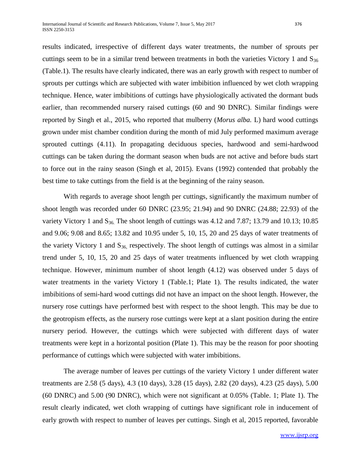results indicated, irrespective of different days water treatments, the number of sprouts per cuttings seem to be in a similar trend between treatments in both the varieties Victory 1 and S<sub>36</sub> (Table.1). The results have clearly indicated, there was an early growth with respect to number of sprouts per cuttings which are subjected with water imbibition influenced by wet cloth wrapping technique. Hence, water imbibitions of cuttings have physiologically activated the dormant buds earlier, than recommended nursery raised cuttings (60 and 90 DNRC). Similar findings were reported by Singh et al., 2015, who reported that mulberry (*Morus alba.* L) hard wood cuttings grown under mist chamber condition during the month of mid July performed maximum average sprouted cuttings (4.11). In propagating deciduous species, hardwood and semi-hardwood cuttings can be taken during the dormant season when buds are not active and before buds start to force out in the rainy season (Singh et al, 2015). Evans (1992) contended that probably the best time to take cuttings from the field is at the beginning of the rainy season.

With regards to average shoot length per cuttings, significantly the maximum number of shoot length was recorded under 60 DNRC (23.95; 21.94) and 90 DNRC (24.88; 22.93) of the variety Victory 1 and  $S_{36}$ . The shoot length of cuttings was 4.12 and 7.87; 13.79 and 10.13; 10.85 and 9.06; 9.08 and 8.65; 13.82 and 10.95 under 5, 10, 15, 20 and 25 days of water treatments of the variety Victory 1 and  $S_{36}$  respectively. The shoot length of cuttings was almost in a similar trend under 5, 10, 15, 20 and 25 days of water treatments influenced by wet cloth wrapping technique. However, minimum number of shoot length (4.12) was observed under 5 days of water treatments in the variety Victory 1 (Table.1; Plate 1). The results indicated, the water imbibitions of semi-hard wood cuttings did not have an impact on the shoot length. However, the nursery rose cuttings have performed best with respect to the shoot length. This may be due to the geotropism effects, as the nursery rose cuttings were kept at a slant position during the entire nursery period. However, the cuttings which were subjected with different days of water treatments were kept in a horizontal position (Plate 1). This may be the reason for poor shooting performance of cuttings which were subjected with water imbibitions.

The average number of leaves per cuttings of the variety Victory 1 under different water treatments are 2.58 (5 days), 4.3 (10 days), 3.28 (15 days), 2.82 (20 days), 4.23 (25 days), 5.00 (60 DNRC) and 5.00 (90 DNRC), which were not significant at 0.05% (Table. 1; Plate 1). The result clearly indicated, wet cloth wrapping of cuttings have significant role in inducement of early growth with respect to number of leaves per cuttings. Singh et al, 2015 reported, favorable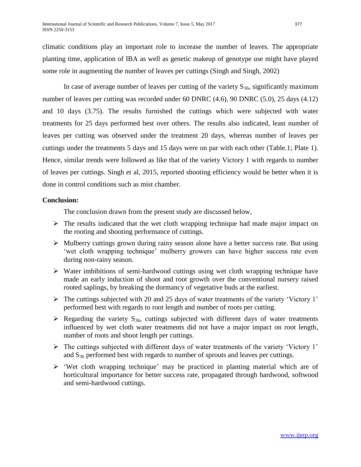climatic conditions play an important role to increase the number of leaves. The appropriate planting time, application of IBA as well as genetic makeup of genotype use might have played some role in augmenting the number of leaves per cuttings (Singh and Singh, 2002)

In case of average number of leaves per cutting of the variety  $S_{36}$ , significantly maximum number of leaves per cutting was recorded under 60 DNRC (4.6), 90 DNRC (5.0), 25 days (4.12) and 10 days (3.75). The results furnished the cuttings which were subjected with water treatments for 25 days performed best over others. The results also indicated, least number of leaves per cutting was observed under the treatment 20 days, whereas number of leaves per cuttings under the treatments 5 days and 15 days were on par with each other (Table.1; Plate 1). Hence, similar trends were followed as like that of the variety Victory 1 with regards to number of leaves per cuttings. Singh et al, 2015, reported shooting efficiency would be better when it is done in control conditions such as mist chamber.

# **Conclusion:**

The conclusion drawn from the present study are discussed below,

- $\triangleright$  The results indicated that the wet cloth wrapping technique had made major impact on the rooting and shooting performance of cuttings.
- $\triangleright$  Mulberry cuttings grown during rainy season alone have a better success rate. But using 'wet cloth wrapping technique' mulberry growers can have higher success rate even during non-rainy season.
- $\triangleright$  Water imbibitions of semi-hardwood cuttings using wet cloth wrapping technique have made an early induction of shoot and root growth over the conventional nursery raised rooted saplings, by breaking the dormancy of vegetative buds at the earliest.
- The cuttings subjected with 20 and 25 days of water treatments of the variety 'Victory 1' performed best with regards to root length and number of roots per cutting.
- $\triangleright$  Regarding the variety S<sub>36</sub>, cuttings subjected with different days of water treatments influenced by wet cloth water treatments did not have a major impact on root length, number of roots and shoot length per cuttings.
- The cuttings subjected with different days of water treatments of the variety 'Victory 1' and  $S_{36}$  performed best with regards to number of sprouts and leaves per cuttings.
- $\triangleright$  'Wet cloth wrapping technique' may be practiced in planting material which are of horticultural importance for better success rate, propagated through hardwood, softwood and semi-hardwood cuttings.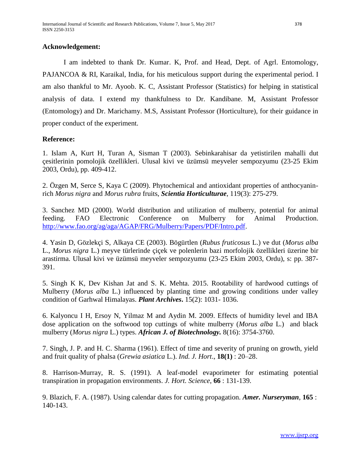# **Acknowledgement:**

I am indebted to thank Dr. Kumar. K, Prof. and Head, Dept. of Agrl. Entomology, PAJANCOA & RI, Karaikal, India, for his meticulous support during the experimental period. I am also thankful to Mr. Ayoob. K. C, Assistant Professor (Statistics) for helping in statistical analysis of data. I extend my thankfulness to Dr. Kandibane. M, Assistant Professor (Entomology) and Dr. Marichamy. M.S, Assistant Professor (Horticulture), for their guidance in proper conduct of the experiment.

# **Reference:**

1. Islam A, Kurt H, Turan A, Sisman T (2003). Sebinkarahisar da yetistirilen mahalli dut çesitlerinin pomolojik özellikleri. Ulusal kivi ve üzümsü meyveler sempozyumu (23-25 Ekim 2003, Ordu), pp. 409-412.

2. Özgen M, Serce S, Kaya C (2009). Phytochemical and antioxidant properties of anthocyaninrich *Morus nigra* and *Morus rubra* fruits, *Scientia Horticulturae*, 119(3): 275-279.

3. Sanchez MD (2000). World distribution and utilization of mulberry, potential for animal feeding. FAO Electronic Conference on Mulberry for Animal Production. [http://www.fao.org/ag/aga/AGAP/FRG/Mulberry/Papers/PDF/Intro.pdf.](http://www.fao.org/ag/aga/AGAP/FRG/Mulberry/Papers/PDF/Intro.pdf)

4. Yasin D, Gözlekçi S, Alkaya CE (2003). Bögürtlen (*Rubus fruticosus* L.) ve dut (*Morus alba*  L., *Morus nigra* L.) meyve türlerinde çiçek ve polenlerin bazi morfolojik özellikleri üzerine bir arastirma. Ulusal kivi ve üzümsü meyveler sempozyumu (23-25 Ekim 2003, Ordu), s: pp. 387- 391.

5. Singh K K, Dev Kishan Jat and S. K. Mehta. 2015. Rootability of hardwood cuttings of Mulberry (*Morus alba* L.) influenced by planting time and growing conditions under valley condition of Garhwal Himalayas. *Plant Archives***.** 15(2): 1031- 1036.

6. Kalyoncu I H, Ersoy N, Yilmaz M and Aydin M. 2009. Effects of humidity level and IBA dose application on the softwood top cuttings of white mulberry (*Morus alba* L.) and black mulberry (*Morus nigra* L.) types. *African J. of Biotechnology.* 8(16): 3754-3760.

7. Singh, J. P. and H. C. Sharma (1961). Effect of time and severity of pruning on growth, yield and fruit quality of phalsa (*Grewia asiatica* L.). *Ind. J. Hort*., **18(1)** : 20–28.

8. Harrison-Murray, R. S. (1991). A leaf-model evaporimeter for estimating potential transpiration in propagation environments. *J. Hort. Science*, **66** : 131-139.

9. Blazich, F. A. (1987). Using calendar dates for cutting propagation. *Amer. Nurseryman*, **165** : 140-143.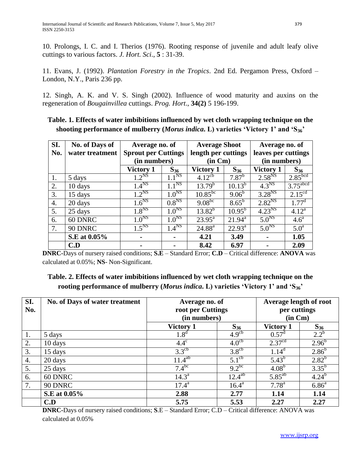10. Prolongs, I. C. and I. Therios (1976). Rooting response of juvenile and adult leafy olive cuttings to various factors. *J. Hort. Sci*., **5** : 31-39.

11. Evans, J. (1992). *Plantation Forestry in the Tropics*. 2nd Ed. Pergamon Press, Oxford – London, N.Y., Paris 236 pp.

12. Singh, A. K. and V. S. Singh (2002). Influence of wood maturity and auxins on the regeneration of *Bougainvillea* cuttings. *Prog. Hort*., **34(2)** 5 196-199.

| SI. | <b>No. of Days of</b> | Average no. of             |                   | <b>Average Shoot</b>                |                    | Average no. of               |                        |
|-----|-----------------------|----------------------------|-------------------|-------------------------------------|--------------------|------------------------------|------------------------|
| No. | water treatment       | <b>Sprout per Cuttings</b> |                   | length per cuttings                 |                    | leaves per cuttings          |                        |
|     |                       | (in numbers)               |                   | $(in \, Cm)$                        |                    | (in numbers)                 |                        |
|     |                       | Victory 1                  | $S_{36}$          | Victory 1                           | $S_{36}$           | <b>Victory 1</b>             | $S_{36}$               |
| 1.  | 5 days                | $1.2^{N5}$                 | 1.1 <sup>NS</sup> | $4.12^{\overline{c}\,\overline{b}}$ | $7.87^{b}$         | $2.58^{NS}$                  | 2.85 <sup>bcd</sup>    |
| 2.  | 10 days               | 1.4 <sup>NS</sup>          | 1.1 <sup>NS</sup> | $13.79^{b}$                         | $10.13^{b}$        | $4.3^{\overline{\text{NS}}}$ | $3.75$ <sup>abcd</sup> |
| 3.  | 15 days               | 1.2 <sup>NS</sup>          | 1.0 <sup>NS</sup> | $10.85^{bc}$                        | $9.06^{b}$         | $3.28^{N5}$                  | $2.15^{cd}$            |
| 4.  | 20 days               | $1.6^{\overline{\rm NS}}$  | 0.8 <sup>NS</sup> | $9.08^{bc}$                         | $8.65^{\rm b}$     | $2.82^{NS}$                  | $1.77^{\rm d}$         |
| 5.  | 25 days               | 1.8 <sup>NS</sup>          | 1.0 <sup>NS</sup> | $13.82^{b}$                         | $10.95^{b}$        | $4.23^{N5}$                  | $4.12^{a}$             |
| 6.  | 60 DNRC               | 1.0 <sup>NS</sup>          | 1.0 <sup>NS</sup> | $23.95^{\text{a}}$                  | $21.94^{\text{a}}$ | 5.0 <sup>NS</sup>            | 4.6 <sup>a</sup>       |
| 7.  | 90 DNRC               | 1.5 <sup>NS</sup>          | 1.4 <sup>NS</sup> | $24.88^{a}$                         | $22.93^{\text{a}}$ | 5.0 <sup>NS</sup>            | 5.0 <sup>a</sup>       |
|     | S.E at 0.05%          | ۰                          |                   | 4.21                                | 3.49               |                              | 1.05                   |
|     | C.D                   |                            |                   | 8.42                                | 6.97               |                              | 2.09                   |

# **Table. 1. Effects of water imbibitions influenced by wet cloth wrapping technique on the shooting performance of mulberry (***Morus indica***. L) varieties 'Victory 1' and 'S36'**

**DNRC-**Days of nursery raised conditions; **S.E** – Standard Error; **C.D** – Critical difference: **ANOVA** was calculated at 0.05%; **NS**- Non-Significant.

# **Table. 2. Effects of water imbibitions influenced by wet cloth wrapping technique on the rooting performance of mulberry (***Morus indica***. L) varieties 'Victory 1' and 'S36'**

| SI.<br>No.         | No. of Days of water treatment | Average no. of<br>root per Cuttings<br>(in numbers) |                   | <b>Average length of root</b><br>per cuttings<br>$(in \ Cm)$ |                   |
|--------------------|--------------------------------|-----------------------------------------------------|-------------------|--------------------------------------------------------------|-------------------|
|                    |                                | Victory 1                                           | $S_{36}$          | Victory 1                                                    | $S_{36}$          |
| 1.                 | 5 days                         | 1.8 <sup>d</sup>                                    | 4.9 <sup>cb</sup> | $0.57^{\rm d}$                                               | $2.2^{b}$         |
| 2.                 | 10 days                        | $4.4^{\circ}$                                       | 4.0 <sup>cb</sup> | 2.37 <sup>cd</sup>                                           | $2.96^{b}$        |
| 3.                 | 15 days                        | $3.3^{\text{cb}}$                                   | $3.8^{\text{cb}}$ | $1.14^d$                                                     | $2.86^{b}$        |
| $\boldsymbol{4}$ . | 20 days                        | $11.4^{ab}$                                         | 5.1 <sup>cb</sup> | $5.43^{b}$                                                   | $2.82^{b}$        |
| 5.                 | 25 days                        | $7.4^{bc}$                                          | $9.2^{bc}$        | $4.08^{b}$                                                   | $3.35^{b}$        |
| 6.                 | 60 DNRC                        | $14.3^{\circ}$                                      | $12.4^{ab}$       | $5.85^{ab}$                                                  | $4.24^{b}$        |
| 7.                 | 90 DNRC                        | $17.4^{\rm a}$                                      | $16.4^{\rm a}$    | $7.78^{a}$                                                   | 6.86 <sup>a</sup> |
|                    | S.E at 0.05%                   | 2.88                                                | 2.77              | 1.14                                                         | 1.14              |
|                    | C.D                            | 5.75                                                | 5.53              | 2.27                                                         | 2.27              |

**DNRC-**Days of nursery raised conditions; **S**.E – Standard Error; C.D – Critical difference: ANOVA was calculated at 0.05%